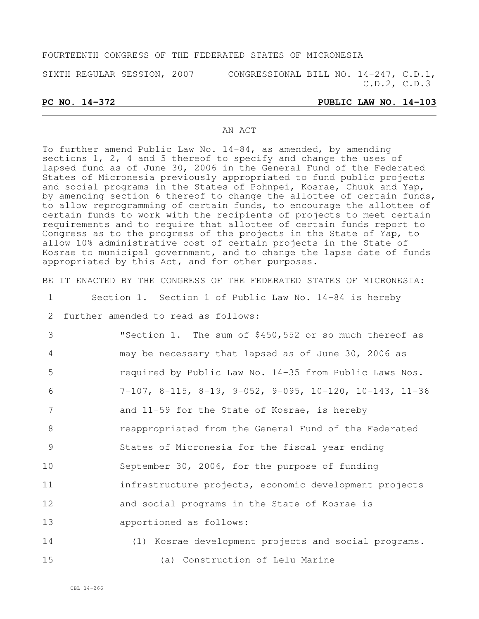#### FOURTEENTH CONGRESS OF THE FEDERATED STATES OF MICRONESIA

SIXTH REGULAR SESSION, 2007 CONGRESSIONAL BILL NO. 14-247, C.D.1, C.D.2, C.D.3

#### **PC NO. 14-372 PUBLIC LAW NO. 14-103**

#### AN ACT

To further amend Public Law No. 14-84, as amended, by amending sections 1, 2, 4 and 5 thereof to specify and change the uses of lapsed fund as of June 30, 2006 in the General Fund of the Federated States of Micronesia previously appropriated to fund public projects and social programs in the States of Pohnpei, Kosrae, Chuuk and Yap, by amending section 6 thereof to change the allottee of certain funds, to allow reprogramming of certain funds, to encourage the allottee of certain funds to work with the recipients of projects to meet certain requirements and to require that allottee of certain funds report to Congress as to the progress of the projects in the State of Yap, to allow 10% administrative cost of certain projects in the State of Kosrae to municipal government, and to change the lapse date of funds appropriated by this Act, and for other purposes.

1 Section 1. Section 1 of Public Law No. 14-84 is hereby 2 further amended to read as follows: 3 "Section 1. The sum of \$450,552 or so much thereof as

BE IT ENACTED BY THE CONGRESS OF THE FEDERATED STATES OF MICRONESIA:

 may be necessary that lapsed as of June 30, 2006 as required by Public Law No. 14-35 from Public Laws Nos. 7-107, 8-115, 8-19, 9-052, 9-095, 10-120, 10-143, 11-36 7 and 11-59 for the State of Kosrae, is hereby reappropriated from the General Fund of the Federated States of Micronesia for the fiscal year ending September 30, 2006, for the purpose of funding 11 infrastructure projects, economic development projects and social programs in the State of Kosrae is apportioned as follows:

14 (1) Kosrae development projects and social programs. 15 (a) Construction of Lelu Marine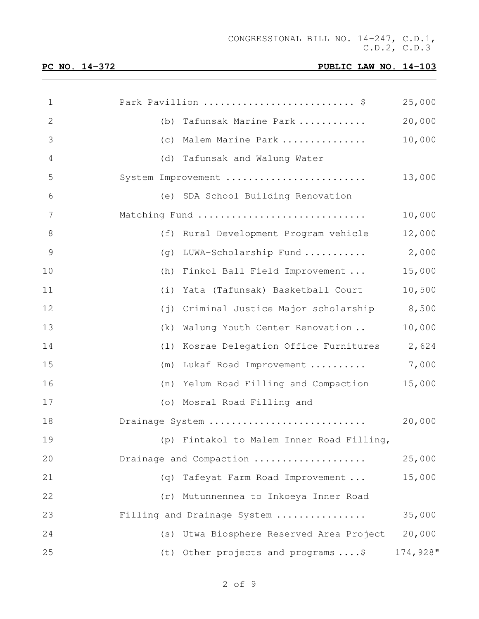| $\mathbf 1$ | Park Pavillion  \$                                | 25,000   |
|-------------|---------------------------------------------------|----------|
| 2           | Tafunsak Marine Park<br>(b)                       | 20,000   |
| 3           | Malem Marine Park<br>(c)                          | 10,000   |
| 4           | Tafunsak and Walung Water<br>(d)                  |          |
| 5           | System Improvement                                | 13,000   |
| 6           | (e) SDA School Building Renovation                |          |
| 7           | Matching Fund                                     | 10,000   |
| $8\,$       | (f)<br>Rural Development Program vehicle          | 12,000   |
| 9           | LUWA-Scholarship Fund<br>(q)                      | 2,000    |
| 10          | Finkol Ball Field Improvement<br>(h)              | 15,000   |
| 11          | Yata (Tafunsak) Basketball Court<br>(i)           | 10,500   |
| 12          | Criminal Justice Major scholarship<br>$(\dagger)$ | 8,500    |
| 13          | Walung Youth Center Renovation<br>(k)             | 10,000   |
| 14          | Kosrae Delegation Office Furnitures<br>(1)        | 2,624    |
| 15          | Lukaf Road Improvement<br>(m)                     | 7,000    |
| 16          | Yelum Road Filling and Compaction<br>(n)          | 15,000   |
| 17          | (o) Mosral Road Filling and                       |          |
| 18          | Drainage System                                   | 20,000   |
| 19          | (p) Fintakol to Malem Inner Road Filling,         |          |
| 20          | Drainage and Compaction                           | 25,000   |
| 21          | Tafeyat Farm Road Improvement<br>(q)              | 15,000   |
| 22          | (r) Mutunnennea to Inkoeya Inner Road             |          |
| 23          | Filling and Drainage System                       | 35,000   |
| 24          | (s) Utwa Biosphere Reserved Area Project          | 20,000   |
| 25          | (t) Other projects and programs  \$               | 174,928" |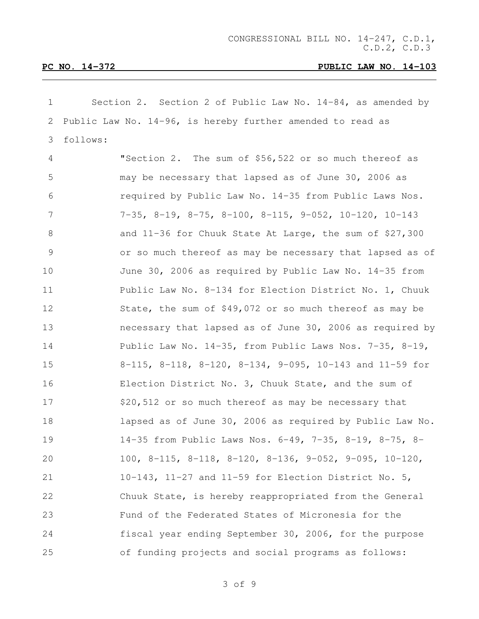| $\mathbf 1$     | Section 2. Section 2 of Public Law No. $14-84$ , as amended by               |
|-----------------|------------------------------------------------------------------------------|
| 2               | Public Law No. 14-96, is hereby further amended to read as                   |
| 3               | follows:                                                                     |
| 4               | "Section 2. The sum of \$56,522 or so much thereof as                        |
| 5               | may be necessary that lapsed as of June 30, 2006 as                          |
| 6               | required by Public Law No. 14-35 from Public Laws Nos.                       |
| $7\phantom{.0}$ | $7-35$ , $8-19$ , $8-75$ , $8-100$ , $8-115$ , $9-052$ , $10-120$ , $10-143$ |
| $\,8\,$         | and 11-36 for Chuuk State At Large, the sum of \$27,300                      |
| $\mathcal{G}$   | or so much thereof as may be necessary that lapsed as of                     |
| 10              | June 30, 2006 as required by Public Law No. 14-35 from                       |
| 11              | Public Law No. 8-134 for Election District No. 1, Chuuk                      |
| 12              | State, the sum of \$49,072 or so much thereof as may be                      |
| 13              | necessary that lapsed as of June 30, 2006 as required by                     |
| 14              | Public Law No. 14-35, from Public Laws Nos. 7-35, 8-19,                      |
| 15              | 8-115, 8-118, 8-120, 8-134, 9-095, 10-143 and 11-59 for                      |
| 16              | Election District No. 3, Chuuk State, and the sum of                         |
| 17              | \$20,512 or so much thereof as may be necessary that                         |
| 18              | lapsed as of June 30, 2006 as required by Public Law No.                     |
| 19              | 14-35 from Public Laws Nos. 6-49, 7-35, 8-19, 8-75, 8-                       |
| 20              | 100, 8-115, 8-118, 8-120, 8-136, 9-052, 9-095, 10-120,                       |
| 21              | 10-143, 11-27 and 11-59 for Election District No. 5,                         |
| 22              | Chuuk State, is hereby reappropriated from the General                       |
| 23              | Fund of the Federated States of Micronesia for the                           |
| 24              | fiscal year ending September 30, 2006, for the purpose                       |
| 25              | of funding projects and social programs as follows:                          |

of 9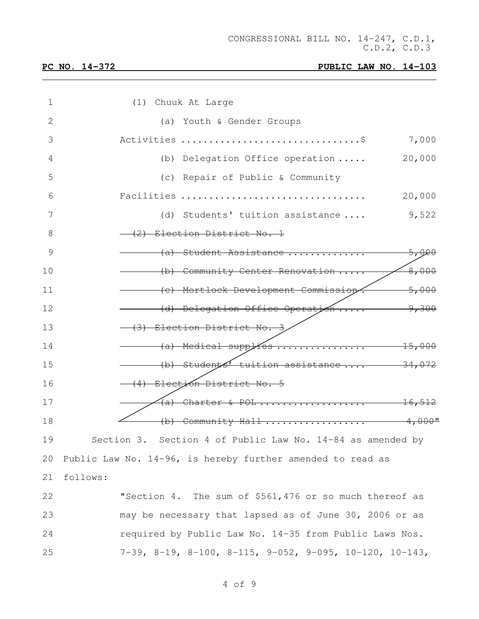| (1) Chuuk At Large                                                              |
|---------------------------------------------------------------------------------|
| (a) Youth & Gender Groups                                                       |
| 7,000                                                                           |
| 20,000<br>(b) Delegation Office operation                                       |
| (c) Repair of Public & Community                                                |
| Facilities<br>20,000                                                            |
| 9,522<br>(d) Students' tuition assistance                                       |
| (2) Election District No. 1                                                     |
| (a) Student Assistance<br>5,000                                                 |
| 8,000<br>(b) Community Center Renovation                                        |
| (c) Mortlock Development Commission<br>5,000                                    |
| (d) Delegation Office Operation<br>9,300                                        |
| (3) Election District No. 3                                                     |
| (a) Medical supplies<br>$-15,000$                                               |
| (b) Students <sup>1</sup> tuition assistance $\frac{34,072}{2}$                 |
| (4) Electión District No. 5                                                     |
| Charter & POL<br>(a)<br><del>16,512</del>                                       |
| (b) Community Hall<br>$4,000$ "                                                 |
| Section 3. Section 4 of Public Law No. 14-84 as amended by                      |
| Public Law No. 14-96, is hereby further amended to read as                      |
| follows:                                                                        |
| "Section 4. The sum of \$561,476 or so much thereof as                          |
| may be necessary that lapsed as of June 30, 2006 or as                          |
| required by Public Law No. 14-35 from Public Laws Nos.                          |
| $7-39$ , $8-19$ , $8-100$ , $8-115$ , $9-052$ , $9-095$ , $10-120$ , $10-143$ , |
|                                                                                 |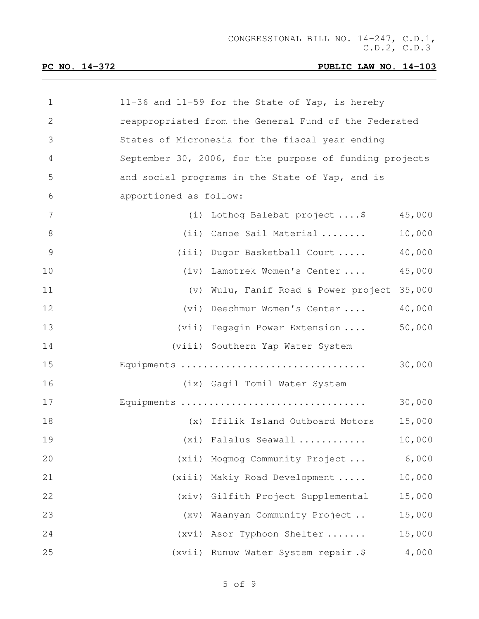| 1  | 11-36 and 11-59 for the State of Yap, is hereby         |
|----|---------------------------------------------------------|
| 2  | reappropriated from the General Fund of the Federated   |
| 3  | States of Micronesia for the fiscal year ending         |
| 4  | September 30, 2006, for the purpose of funding projects |
| 5  | and social programs in the State of Yap, and is         |
| 6  | apportioned as follow:                                  |
| 7  | 45,000<br>(i) Lothog Balebat project  \$                |
| 8  | 10,000<br>(ii) Canoe Sail Material                      |
| 9  | 40,000<br>(iii) Dugor Basketball Court                  |
| 10 | 45,000<br>(iv) Lamotrek Women's Center                  |
| 11 | 35,000<br>(v) Wulu, Fanif Road & Power project          |
| 12 | 40,000<br>Deechmur Women's Center<br>(vi)               |
| 13 | 50,000<br>(vii) Tegegin Power Extension                 |
| 14 | (viii) Southern Yap Water System                        |
| 15 | 30,000<br>Equipments                                    |
| 16 | (ix) Gagil Tomil Water System                           |
| 17 | Equipments<br>30,000                                    |
| 18 | 15,000<br>(x) Ifilik Island Outboard Motors             |
| 19 | (xi) Falalus Seawall<br>10,000                          |
| 20 | (xii) Mogmog Community Project<br>6,000                 |
| 21 | (xiii) Makiy Road Development<br>10,000                 |
| 22 | (xiv) Gilfith Project Supplemental<br>15,000            |
| 23 | 15,000<br>(xv) Waanyan Community Project                |
| 24 | (xvi) Asor Typhoon Shelter<br>15,000                    |
| 25 | 4,000<br>(xvii) Runuw Water System repair.\$            |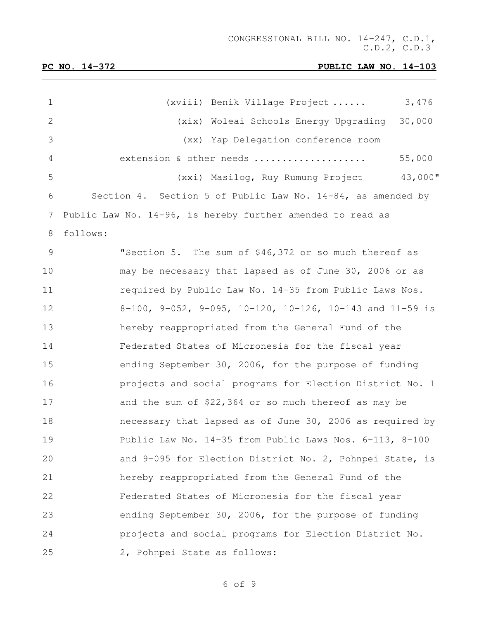| $\mathbf 1$  | 3,476<br>(xviii) Benik Village Project                      |  |
|--------------|-------------------------------------------------------------|--|
| $\mathbf{2}$ | (xix) Woleai Schools Energy Upgrading<br>30,000             |  |
| 3            | (xx) Yap Delegation conference room                         |  |
| 4            | extension & other needs<br>55,000                           |  |
| 5            | 43,000"<br>(xxi) Masilog, Ruy Rumung Project                |  |
| 6            | Section 4. Section 5 of Public Law No. 14-84, as amended by |  |
| 7            | Public Law No. 14-96, is hereby further amended to read as  |  |
| 8            | follows:                                                    |  |
| 9            | "Section 5. The sum of \$46,372 or so much thereof as       |  |
| 10           | may be necessary that lapsed as of June 30, 2006 or as      |  |
| 11           | required by Public Law No. 14-35 from Public Laws Nos.      |  |
| 12           | 8-100, 9-052, 9-095, 10-120, 10-126, 10-143 and 11-59 is    |  |
| 13           | hereby reappropriated from the General Fund of the          |  |
| 14           | Federated States of Micronesia for the fiscal year          |  |
| 15           | ending September 30, 2006, for the purpose of funding       |  |
| 16           | projects and social programs for Election District No. 1    |  |
| 17           | and the sum of $$22,364$ or so much thereof as may be       |  |
| 18           | necessary that lapsed as of June 30, 2006 as required by    |  |
| 19           | Public Law No. 14-35 from Public Laws Nos. 6-113, 8-100     |  |
| 20           | and 9-095 for Election District No. 2, Pohnpei State, is    |  |
| 21           | hereby reappropriated from the General Fund of the          |  |
| 22           | Federated States of Micronesia for the fiscal year          |  |
| 23           | ending September 30, 2006, for the purpose of funding       |  |
| 24           | projects and social programs for Election District No.      |  |
| 25           | 2, Pohnpei State as follows:                                |  |

of 9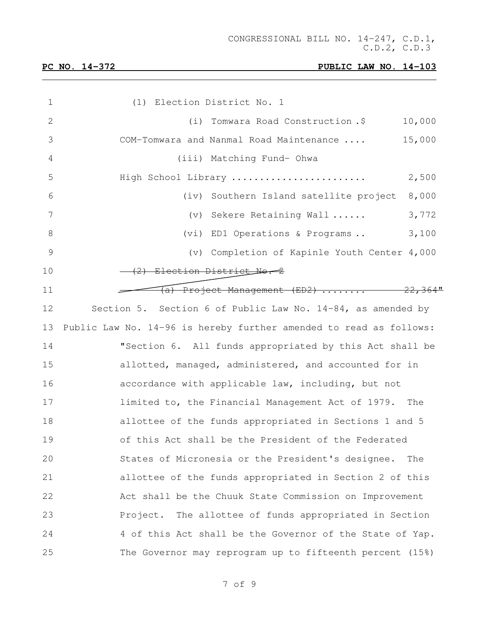| 1             | (1) Election District No. 1                                        |
|---------------|--------------------------------------------------------------------|
| 2             | Tomwara Road Construction.\$<br>10,000<br>(i)                      |
| 3             | 15,000<br>COM-Tomwara and Nanmal Road Maintenance                  |
| 4             | (iii) Matching Fund- Ohwa                                          |
| 5             | High School Library<br>2,500                                       |
| 6             | 8,000<br>Southern Island satellite project<br>(iv)                 |
| 7             | Sekere Retaining Wall<br>3,772<br>$(\triangledown)$                |
| 8             | (vi) ED1 Operations & Programs<br>3,100                            |
| $\mathcal{G}$ | (v) Completion of Kapinle Youth Center 4,000                       |
| 10            | - (2) Election District No. 2                                      |
| 11            | <del>(a) Project Management (ED2)  22,3</del>                      |
| 12            | Section 5. Section 6 of Public Law No. $14-84$ , as amended by     |
| 13            | Public Law No. 14-96 is hereby further amended to read as follows: |
| 14            | "Section 6. All funds appropriated by this Act shall be            |
| 15            | allotted, managed, administered, and accounted for in              |
| 16            | accordance with applicable law, including, but not                 |
| 17            | limited to, the Financial Management Act of 1979. The              |
| 18            | allottee of the funds appropriated in Sections 1 and 5             |
| 19            | of this Act shall be the President of the Federated                |
| 20            | States of Micronesia or the President's designee.<br>The           |
| 21            | allottee of the funds appropriated in Section 2 of this            |
| 22            | Act shall be the Chuuk State Commission on Improvement             |
| 23            | Project. The allottee of funds appropriated in Section             |
| 24            | 4 of this Act shall be the Governor of the State of Yap.           |
| 25            | The Governor may reprogram up to fifteenth percent (15%)           |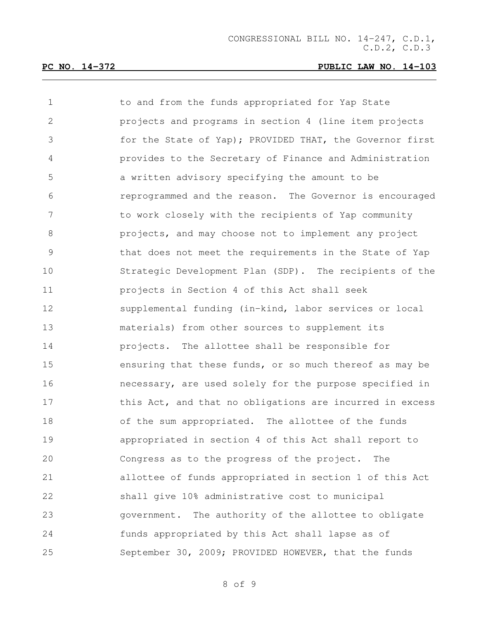| $\mathbf 1$   | to and from the funds appropriated for Yap State         |
|---------------|----------------------------------------------------------|
| $\mathbf{2}$  | projects and programs in section 4 (line item projects   |
| 3             | for the State of Yap); PROVIDED THAT, the Governor first |
| 4             | provides to the Secretary of Finance and Administration  |
| 5             | a written advisory specifying the amount to be           |
| $6\,$         | reprogrammed and the reason. The Governor is encouraged  |
| 7             | to work closely with the recipients of Yap community     |
| $\,8\,$       | projects, and may choose not to implement any project    |
| $\mathcal{G}$ | that does not meet the requirements in the State of Yap  |
| 10            | Strategic Development Plan (SDP). The recipients of the  |
| 11            | projects in Section 4 of this Act shall seek             |
| 12            | supplemental funding (in-kind, labor services or local   |
| 13            | materials) from other sources to supplement its          |
| 14            | projects. The allottee shall be responsible for          |
| 15            | ensuring that these funds, or so much thereof as may be  |
| 16            | necessary, are used solely for the purpose specified in  |
| 17            | this Act, and that no obligations are incurred in excess |
| 18            | of the sum appropriated. The allottee of the funds       |
| 19            | appropriated in section 4 of this Act shall report to    |
| 20            | Congress as to the progress of the project. The          |
| 21            | allottee of funds appropriated in section 1 of this Act  |
| 22            | shall give 10% administrative cost to municipal          |
| 23            | government. The authority of the allottee to obligate    |
| 24            | funds appropriated by this Act shall lapse as of         |
| 25            | September 30, 2009; PROVIDED HOWEVER, that the funds     |

of 9